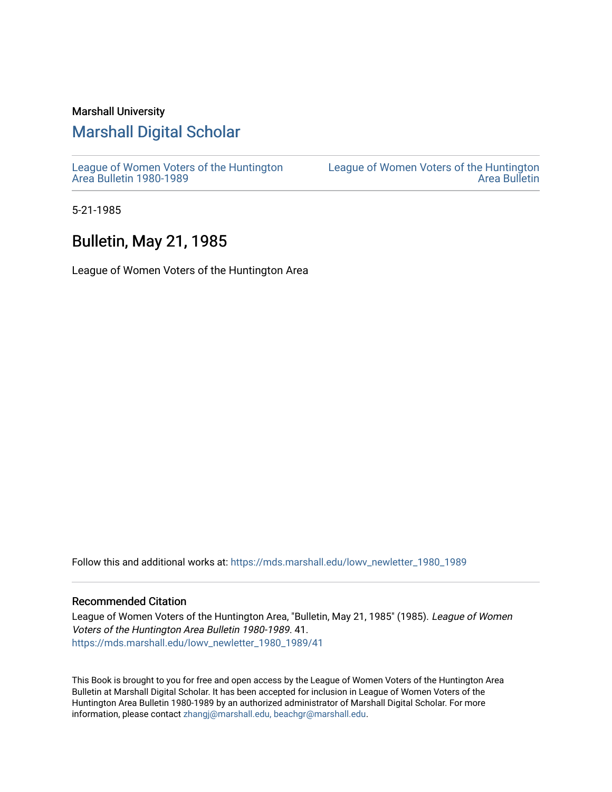#### Marshall University

#### [Marshall Digital Scholar](https://mds.marshall.edu/)

[League of Women Voters of the Huntington](https://mds.marshall.edu/lowv_newletter_1980_1989) [Area Bulletin 1980-1989](https://mds.marshall.edu/lowv_newletter_1980_1989) 

[League of Women Voters of the Huntington](https://mds.marshall.edu/lowv_newsletter)  [Area Bulletin](https://mds.marshall.edu/lowv_newsletter) 

5-21-1985

#### Bulletin, May 21, 1985

League of Women Voters of the Huntington Area

Follow this and additional works at: [https://mds.marshall.edu/lowv\\_newletter\\_1980\\_1989](https://mds.marshall.edu/lowv_newletter_1980_1989?utm_source=mds.marshall.edu%2Flowv_newletter_1980_1989%2F41&utm_medium=PDF&utm_campaign=PDFCoverPages)

#### Recommended Citation

League of Women Voters of the Huntington Area, "Bulletin, May 21, 1985" (1985). League of Women Voters of the Huntington Area Bulletin 1980-1989. 41. [https://mds.marshall.edu/lowv\\_newletter\\_1980\\_1989/41](https://mds.marshall.edu/lowv_newletter_1980_1989/41?utm_source=mds.marshall.edu%2Flowv_newletter_1980_1989%2F41&utm_medium=PDF&utm_campaign=PDFCoverPages) 

This Book is brought to you for free and open access by the League of Women Voters of the Huntington Area Bulletin at Marshall Digital Scholar. It has been accepted for inclusion in League of Women Voters of the Huntington Area Bulletin 1980-1989 by an authorized administrator of Marshall Digital Scholar. For more information, please contact [zhangj@marshall.edu, beachgr@marshall.edu](mailto:zhangj@marshall.edu,%20beachgr@marshall.edu).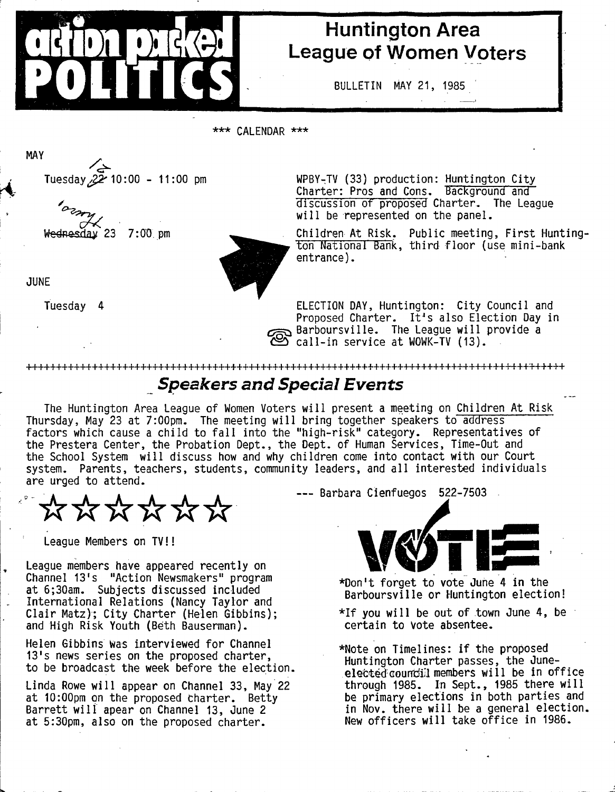

## **Huntington Area League of Women Voters**

**BULLETIN MAY 21, 1985**

**\* \* \* CALENDAR \* \* \***

Tuesday 22 10:00 - 11:00 pm

**Wednesday 23 7:00 . pm**

**JUNE**

**MAY**

**Tuesday 4**

**WPBY-TV (33) production: Huntington City Charter: Pros and Cons. Background and discussion of proposed Charter. The League** will be represented on the panel.

Children At Risk. Public meeting, First Hunting ton National Bank, third floor (use mini-bank **entrance).**

**ELECTION DAY, Huntington: City Council and** Proposed Charter. It's also Election Day in **Barboursville. The League w ill provide a** C call-in service at WOWK-TV (13).

### *Speakers and Special Events*

**The Huntington Area League of Women Voters w ill present a meeting on Children At Risk** Thursday, May 23 at 7:00pm. The meeting will bring together speakers to address factors which cause a child to fall into the "high-risk" category. Representatives of **the Prestera Center, the Probation Dept., the Dept, of Human Services, Time-Out and** the School System will discuss how and why children come into contact with our Court **system. Parents, teachers, students, community leaders, and a ll interested individuals are urged to attend.**

**++++++++++++++++++++++++++++++++++++++++++++++++++++++++++++++++++++++++++++++++++++'++++++**

\*\*\*\*\*

**League Members on TV!!**

**League members have appeared recently on Channel 13's "Action Newsmakers" program at 6;30am. Subjects discussed included International Relations (Nancy Taylor and C la ir Matz); City Charter (Helen Gibbins); and High Risk Youth (Beth Bauserman).**

Helen Gibbins was interviewed for Channel **13's news series on the proposed charter, to be broadcast the week before the election.**

Linda Rowe will appear on Channel 33, May 22 **at 10:00pm on the proposed charter. Betty** Barrett will apear on Channel 13, June 2 **at 5:30pm, also on the proposed charter.**

**Barbara Cienfuegos 522-7503**



**♦Don't forget to vote June 4 in the Barboursville or Huntington election!**

- \*If you will be out of town June 4, be **certain to vote absentee.**
- \*Note on Timelines: if the proposed **Huntington Charter passes, the Juneelected councill members will be in office** through 1985. In Sept., 1985 there will **be primary elections in both parties and** in Nov. there will be a general election. New officers will take office in 1986.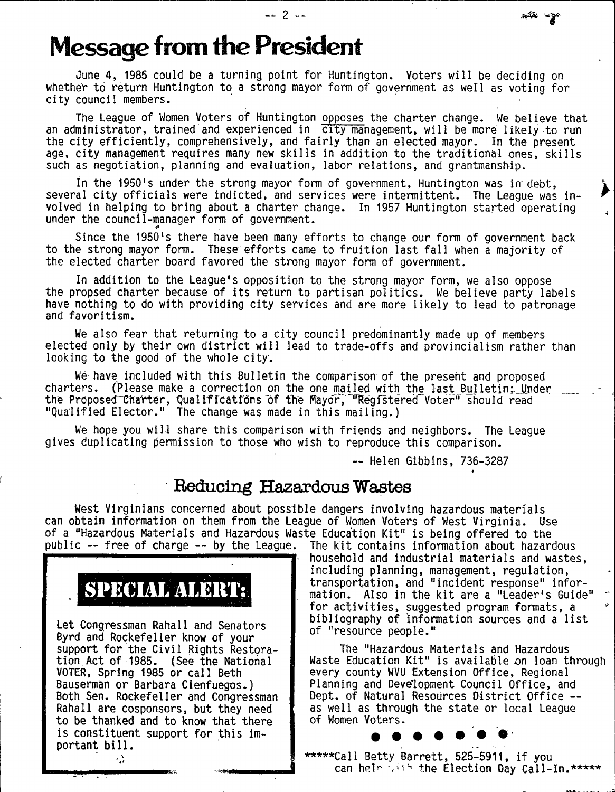# **Message from the President**

**June 4, 1985 could be a turning point for Huntington. Voters will be deciding on** whether to return Huntington to a strong mayor form of government as well as voting for **c ity council members.**

**The League of Women Voters of Huntington opposes the charter change. We believe that** an administrator, trained and experienced in city management, will be more likely to run the city efficiently, comprehensively, and fairly than an elected mayor. In the present age, city management requires many new skills in addition to the traditional ones, skills such as negotiation, planning and evaluation, labor relations, and grantmanship.

**in the 1950's under the strong mayor form of government, Huntington was in' debt,** several city officials were indicted, and services were intermittent. The League was in**volved in helping to bring about a charter change. In 1957 Huntington started operating under the council-manager form of government.**

Since the 1950's there have been many efforts to change our form of government back to the strong mayor form. These efforts came to fruition last fall when a majority of **the elected charter board favored the strong mayor form of government.**

**In addition to the League's opposition to the strong mayor form, we also oppose** the propsed charter because of its return to partisan politics. We believe party labels have nothing to do with providing city services and are more likely to lead to patronage **and favoritism .**

**We also fear that returning to a c ity council predominantly made up of members** elected only by their own district will lead to trade-offs and provincialism rather than looking to the good of the whole city.

We have included with this Bulletin the comparison of the present and proposed charters. (Please make a correction on the one mailed with the last Bulletin; Under the Proposed Charter, Qualifications of the Mayor, "Registered Voter" should read "Qualified Elector." The change was made in this mailing.}

**We hope you w ill share th is comparison with friends and neighbors. The League gives duplicating permission to those who wish to reproduce this comparison.**

**— Helen Gibbins, 736-3287**

#### Reducing Hazardous Wastes

West Virginians concerned about possible dangers involving hazardous materials can obtain information on them from the League of Women Voters of West Virginia. Use **of a "Hazardous Materials and Hazardous Waste Education Kit" is being offered to the public — free of charge — by the League. The k it contains information about hazardous**



**Let Congressman Rahall and Senators Byrd and Rockefeller know of your** support for the Civil Rights Restora**tion, Act of 1985. (See the National VOTER, Spring 1985 or call Beth Bauserman or Barbara Cienfuegos.) Both Sen. Rockefeller and Congressman Rahall are cosponsors, but they need to be thanked and to know that there** is constituent support for this important bill. ۰,

**household and in dustrial m aterials and wastes, including planning, management, regulation,** transportation, and "incident response" information. Also in the kit are a "Leader's Guide" **fo r a c tiv itie s , suggested program formats, a bibliography of information sources and a lis t of "resource people."**

#

The "Hazardous Materials and Hazardous **Waste Education Kit" is available on loan through** every county WVU Extension Office, Regional Planning and Development Council Office, and Dept. of Natural Resources District Office -**as well as through the state or local League of Women Voters.**

\*\*\*\*\*Call Betty Barrett, 525-5911, if you can helm with the Election Day Call-In. \*\*\*\*\*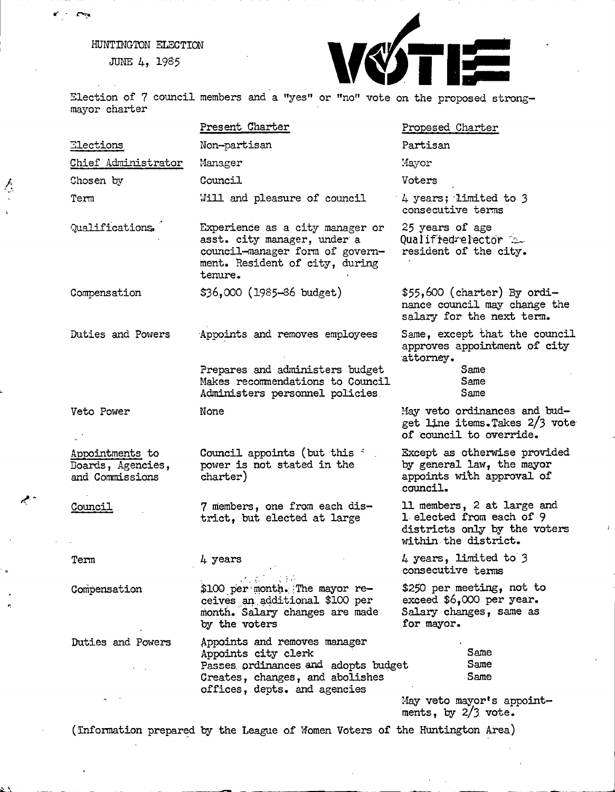## **HUNTINGTON ELECTION**

**JUNE 4, 1985**

 $\sum_{i=1}^{n}$ 

 $\ddot{\phantom{1}}$ 



Election of 7 council members and a "yes" or "no" vote on the proposed strong**mayor charter**

|                                                         | Present Charter                                                                                                                                               | Proposed Charter                                                                                               |
|---------------------------------------------------------|---------------------------------------------------------------------------------------------------------------------------------------------------------------|----------------------------------------------------------------------------------------------------------------|
| Elections                                               | Non-partisan                                                                                                                                                  | Partisan                                                                                                       |
| Chief Administrator                                     | Manager                                                                                                                                                       | Mayor                                                                                                          |
| Chosen by                                               | Council                                                                                                                                                       | Voters                                                                                                         |
| Term                                                    | Will and pleasure of council                                                                                                                                  | 4 years; limited to 3<br>consecutive terms                                                                     |
| Qualifications.                                         | Experience as a city manager or<br>asst. city manager, under a<br>council-manager form of govern-<br>ment. Resident of city, during<br>tenure.                | 25 years of age<br>Qualifiedrelector<br>resident of the city.                                                  |
| Compensation                                            | \$36,000 (1985-86 budget)                                                                                                                                     | $$55,600$ (charter) By ordi-<br>nance council may change the<br>salary for the next term.                      |
| Duties and Powers                                       | Appoints and removes employees                                                                                                                                | Same, except that the council<br>approves appointment of city<br>attorney.                                     |
|                                                         | Prepares and administers budget<br>Makes recommendations to Council<br>Administers personnel policies.                                                        | Same<br>Same<br>Same                                                                                           |
| Veto Power                                              | None                                                                                                                                                          | May veto ordinances and bud-<br>get line items. Takes 2/3 vote<br>of council to override.                      |
| Appointments to<br>Boards, Agencies,<br>and Commissions | Council appoints (but this i<br>power is not stated in the<br>charter)                                                                                        | Except as otherwise provided<br>by general law, the mayor<br>appoints with approval of<br>council.             |
| Council                                                 | 7 members, one from each dis-<br>trict, but elected at large                                                                                                  | 11 members, 2 at large and<br>1 elected from each of 9<br>districts only by the voters<br>within the district. |
| Term                                                    | 4 years                                                                                                                                                       | 4 years, limited to 3<br>consecutive terms                                                                     |
| Compensation                                            | $\zeta \in \mathbb{R}^{d}$<br>\$100 per month. The mayor re-<br>ceives an additional \$100 per<br>month. Salary changes are made<br>by the voters             | \$250 per meeting, not to<br>exceed \$6,000 per year.<br>Salary changes, same as<br>for mayor.                 |
| Duties and Powers                                       | Appoints and removes manager<br>Appoints city clerk<br>Passes ordinances and adopts budget<br>Creates, changes, and abolishes<br>offices, depts. and agencies | Same<br>Same<br>Same<br>May veto mayor's appoint-<br>ments, by 2/3 vote.                                       |

(Information prepared by the League of Women Voters of the Huntington Area)